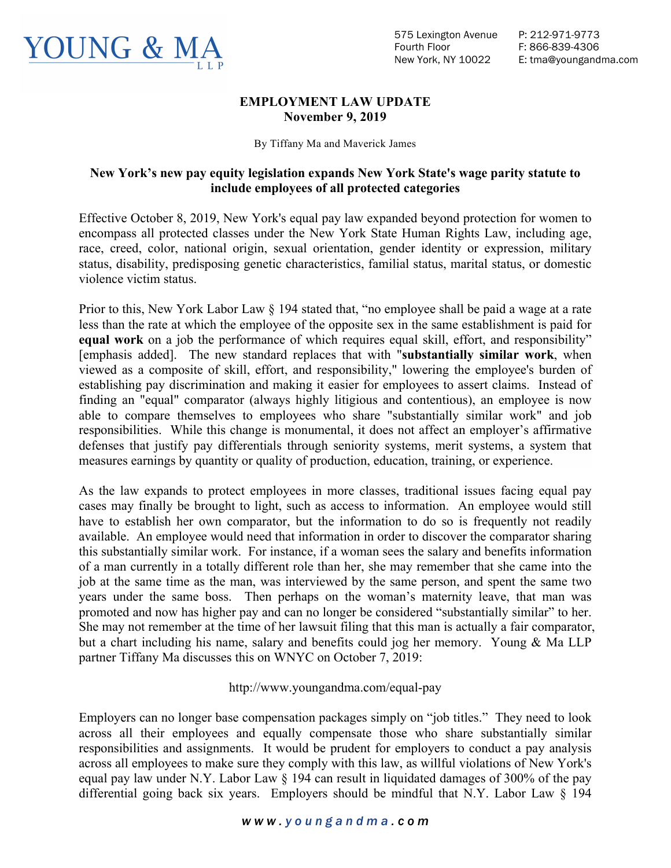

## **EMPLOYMENT LAW UPDATE November 9, 2019**

By Tiffany Ma and Maverick James

## **New York's new pay equity legislation expands New York State's wage parity statute to include employees of all protected categories**

Effective October 8, 2019, New York's equal pay law expanded beyond protection for women to encompass all protected classes under the New York State Human Rights Law, including age, race, creed, color, national origin, sexual orientation, gender identity or expression, military status, disability, predisposing genetic characteristics, familial status, marital status, or domestic violence victim status.

Prior to this, New York Labor Law § 194 stated that, "no employee shall be paid a wage at a rate less than the rate at which the employee of the opposite sex in the same establishment is paid for **equal work** on a job the performance of which requires equal skill, effort, and responsibility" [emphasis added]. The new standard replaces that with "**substantially similar work**, when viewed as a composite of skill, effort, and responsibility," lowering the employee's burden of establishing pay discrimination and making it easier for employees to assert claims. Instead of finding an "equal" comparator (always highly litigious and contentious), an employee is now able to compare themselves to employees who share "substantially similar work" and job responsibilities. While this change is monumental, it does not affect an employer's affirmative defenses that justify pay differentials through seniority systems, merit systems, a system that measures earnings by quantity or quality of production, education, training, or experience.

As the law expands to protect employees in more classes, traditional issues facing equal pay cases may finally be brought to light, such as access to information. An employee would still have to establish her own comparator, but the information to do so is frequently not readily available. An employee would need that information in order to discover the comparator sharing this substantially similar work. For instance, if a woman sees the salary and benefits information of a man currently in a totally different role than her, she may remember that she came into the job at the same time as the man, was interviewed by the same person, and spent the same two years under the same boss. Then perhaps on the woman's maternity leave, that man was promoted and now has higher pay and can no longer be considered "substantially similar" to her. She may not remember at the time of her lawsuit filing that this man is actually a fair comparator, but a chart including his name, salary and benefits could jog her memory. Young & Ma LLP partner Tiffany Ma discusses this on WNYC on October 7, 2019:

## http://www.youngandma.com/equal-pay

Employers can no longer base compensation packages simply on "job titles." They need to look across all their employees and equally compensate those who share substantially similar responsibilities and assignments. It would be prudent for employers to conduct a pay analysis across all employees to make sure they comply with this law, as willful violations of New York's equal pay law under N.Y. Labor Law § 194 can result in liquidated damages of 300% of the pay differential going back six years. Employers should be mindful that N.Y. Labor Law § 194